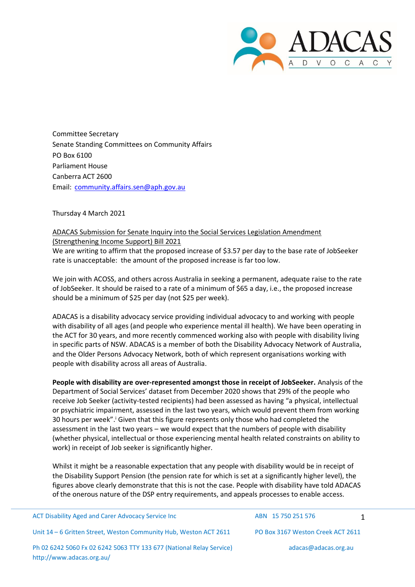

Committee Secretary Senate Standing Committees on Community Affairs PO Box 6100 Parliament House Canberra ACT 2600 Email: [community.affairs.sen@aph.gov.au](mailto:community.affairs.sen@aph.gov.au)

## Thursday 4 March 2021

## ADACAS Submission for Senate Inquiry into the Social Services Legislation Amendment (Strengthening Income Support) Bill 2021

We are writing to affirm that the proposed increase of \$3.57 per day to the base rate of JobSeeker rate is unacceptable: the amount of the proposed increase is far too low.

We join with ACOSS, and others across Australia in seeking a permanent, adequate raise to the rate of JobSeeker. It should be raised to a rate of a minimum of \$65 a day, i.e., the proposed increase should be a minimum of \$25 per day (not \$25 per week).

ADACAS is a disability advocacy service providing individual advocacy to and working with people with disability of all ages (and people who experience mental ill health). We have been operating in the ACT for 30 years, and more recently commenced working also with people with disability living in specific parts of NSW. ADACAS is a member of both the Disability Advocacy Network of Australia, and the Older Persons Advocacy Network, both of which represent organisations working with people with disability across all areas of Australia.

**People with disability are over-represented amongst those in receipt of JobSeeker.** Analysis of the Department of Social Services' dataset from December 2020 shows that 29% of the people who receive Job Seeker (activity-tested recipients) had been assessed as having "a physical, intellectual or psychiatric impairment, assessed in the last two years, which would prevent them from working 30 hours per week".<sup>i</sup> Given that this figure represents only those who had completed the assessment in the last two years – we would expect that the numbers of people with disability (whether physical, intellectual or those experiencing mental health related constraints on ability to work) in receipt of Job seeker is significantly higher.

Whilst it might be a reasonable expectation that any people with disability would be in receipt of the Disability Support Pension (the pension rate for which is set at a significantly higher level), the figures above clearly demonstrate that this is not the case. People with disability have told ADACAS of the onerous nature of the DSP entry requirements, and appeals processes to enable access.

ACT Disability Aged and Carer Advocacy Service Inc ABN 15 750 251 576 1 Unit 14 – 6 Gritten Street, Weston Community Hub, Weston ACT 2611 PO Box 3167 Weston Creek ACT 2611 Ph 02 6242 5060 Fx 02 6242 5063 TTY 133 677 (National Relay Service) <http://www.adacas.org.au/> [adacas@adacas.org.au](mailto:adacas@adacas.org.au)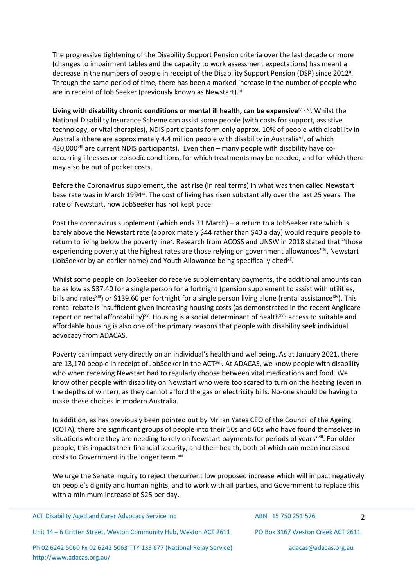The progressive tightening of the Disability Support Pension criteria over the last decade or more (changes to impairment tables and the capacity to work assessment expectations) has meant a decrease in the numbers of people in receipt of the Disability Support Pension (DSP) since 2012<sup>ii</sup>. Through the same period of time, there has been a marked increase in the number of people who are in receipt of Job Seeker (previously known as Newstart).<sup>iii</sup>

Living with disability chronic conditions or mental ill health, can be expensive<sup>iv v vi</sup>. Whilst the National Disability Insurance Scheme can assist some people (with costs for support, assistive technology, or vital therapies), NDIS participants form only approx. 10% of people with disability in Australia (there are approximately 4.4 million people with disability in Australia<sup>vii</sup>, of which 430,000<sup>viii</sup> are current NDIS participants). Even then – many people with disability have cooccurring illnesses or episodic conditions, for which treatments may be needed, and for which there may also be out of pocket costs.

Before the Coronavirus supplement, the last rise (in real terms) in what was then called Newstart base rate was in March 1994<sup>ix</sup>. The cost of living has risen substantially over the last 25 years. The rate of Newstart, now JobSeeker has not kept pace.

Post the coronavirus supplement (which ends 31 March) – a return to a JobSeeker rate which is barely above the Newstart rate (approximately \$44 rather than \$40 a day) would require people to return to living below the poverty line<sup>x</sup>. Research from ACOSS and UNSW in 2018 stated that "those experiencing poverty at the highest rates are those relying on government allowances"<sup>xi</sup>, Newstart (JobSeeker by an earlier name) and Youth Allowance being specifically cited<sup>xii</sup>.

Whilst some people on JobSeeker do receive supplementary payments, the additional amounts can be as low as \$37.40 for a single person for a fortnight (pension supplement to assist with utilities, bills and ratesxiii) or \$139.60 per fortnight for a single person living alone (rental assistancexiv). This rental rebate is insufficient given increasing housing costs (as demonstrated in the recent Anglicare report on rental affordability)<sup>xv</sup>. Housing is a social determinant of health<sup>xvi</sup>: access to suitable and affordable housing is also one of the primary reasons that people with disability seek individual advocacy from ADACAS.

Poverty can impact very directly on an individual's health and wellbeing. As at January 2021, there are 13,170 people in receipt of JobSeeker in the ACT<sup>xvii</sup>. At ADACAS, we know people with disability who when receiving Newstart had to regularly choose between vital medications and food. We know other people with disability on Newstart who were too scared to turn on the heating (even in the depths of winter), as they cannot afford the gas or electricity bills. No-one should be having to make these choices in modern Australia.

In addition, as has previously been pointed out by Mr Ian Yates CEO of the Council of the Ageing (COTA), there are significant groups of people into their 50s and 60s who have found themselves in situations where they are needing to rely on Newstart payments for periods of years<sup>xviii</sup>. For older people, this impacts their financial security, and their health, both of which can mean increased costs to Government in the longer term. xix

We urge the Senate Inquiry to reject the current low proposed increase which will impact negatively on people's dignity and human rights, and to work with all parties, and Government to replace this with a minimum increase of \$25 per day.

| ACT Disability Aged and Carer Advocacy Service Inc                                                | ABN 15 750 251 576                |  |
|---------------------------------------------------------------------------------------------------|-----------------------------------|--|
| Unit 14 - 6 Gritten Street, Weston Community Hub, Weston ACT 2611                                 | PO Box 3167 Weston Creek ACT 2611 |  |
| Ph 02 6242 5060 Fx 02 6242 5063 TTY 133 677 (National Relay Service)<br>http://www.adacas.org.au/ | adacas@adacas.org.au              |  |